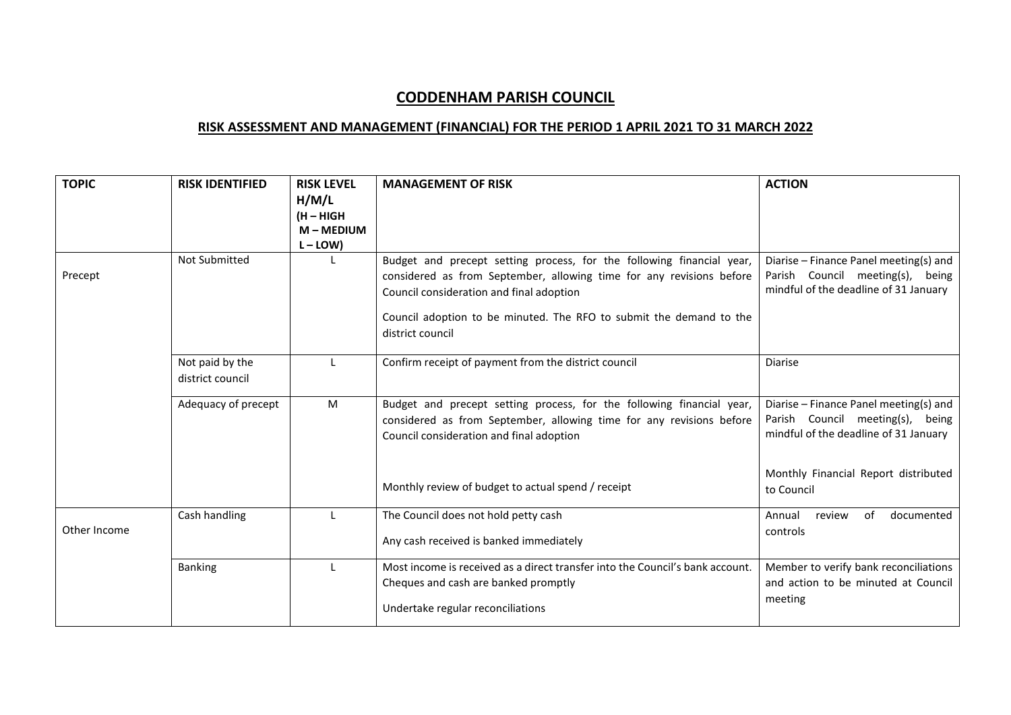## **CODDENHAM PARISH COUNCIL**

## **RISK ASSESSMENT AND MANAGEMENT (FINANCIAL) FOR THE PERIOD 1 APRIL 2021 TO 31 MARCH 2022**

| <b>TOPIC</b> | <b>RISK IDENTIFIED</b>              | <b>RISK LEVEL</b><br>H/M/L<br>(H - HIGH<br>$M - M$ EDIUM<br>$L - LOW$ | <b>MANAGEMENT OF RISK</b>                                                                                                                                                                                                                                                            | <b>ACTION</b>                                                                                                       |
|--------------|-------------------------------------|-----------------------------------------------------------------------|--------------------------------------------------------------------------------------------------------------------------------------------------------------------------------------------------------------------------------------------------------------------------------------|---------------------------------------------------------------------------------------------------------------------|
| Precept      | <b>Not Submitted</b>                |                                                                       | Budget and precept setting process, for the following financial year,<br>considered as from September, allowing time for any revisions before<br>Council consideration and final adoption<br>Council adoption to be minuted. The RFO to submit the demand to the<br>district council | Diarise - Finance Panel meeting(s) and<br>Parish Council meeting(s), being<br>mindful of the deadline of 31 January |
|              | Not paid by the<br>district council |                                                                       | Confirm receipt of payment from the district council                                                                                                                                                                                                                                 | <b>Diarise</b>                                                                                                      |
|              | Adequacy of precept                 | M                                                                     | Budget and precept setting process, for the following financial year,<br>considered as from September, allowing time for any revisions before<br>Council consideration and final adoption                                                                                            | Diarise - Finance Panel meeting(s) and<br>Parish Council meeting(s), being<br>mindful of the deadline of 31 January |
|              |                                     |                                                                       | Monthly review of budget to actual spend / receipt                                                                                                                                                                                                                                   | Monthly Financial Report distributed<br>to Council                                                                  |
| Other Income | Cash handling                       |                                                                       | The Council does not hold petty cash<br>Any cash received is banked immediately                                                                                                                                                                                                      | documented<br>Annual<br>review<br>of<br>controls                                                                    |
|              | <b>Banking</b>                      |                                                                       | Most income is received as a direct transfer into the Council's bank account.<br>Cheques and cash are banked promptly<br>Undertake regular reconciliations                                                                                                                           | Member to verify bank reconciliations<br>and action to be minuted at Council<br>meeting                             |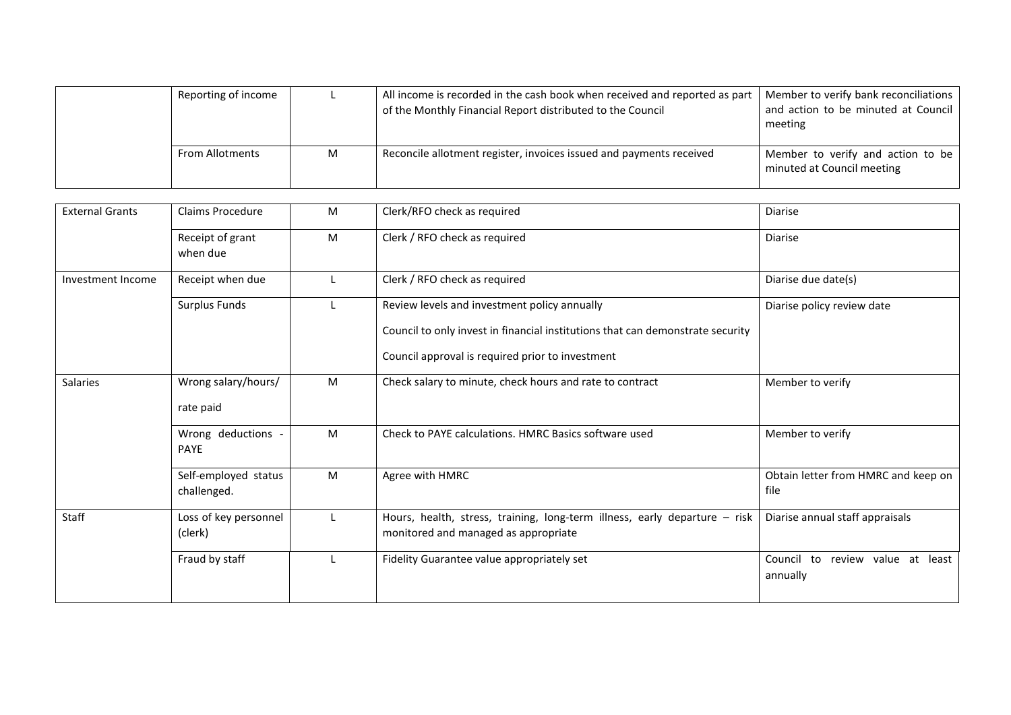| Reporting of income    |   | All income is recorded in the cash book when received and reported as part<br>of the Monthly Financial Report distributed to the Council | Member to verify bank reconciliations<br>and action to be minuted at Council<br>meeting |
|------------------------|---|------------------------------------------------------------------------------------------------------------------------------------------|-----------------------------------------------------------------------------------------|
| <b>From Allotments</b> | M | Reconcile allotment register, invoices issued and payments received                                                                      | Member to verify and action to be<br>minuted at Council meeting                         |

| <b>External Grants</b> | <b>Claims Procedure</b>             | M | Clerk/RFO check as required                                                                                                                                                        | <b>Diarise</b>                               |
|------------------------|-------------------------------------|---|------------------------------------------------------------------------------------------------------------------------------------------------------------------------------------|----------------------------------------------|
|                        | Receipt of grant<br>when due        | M | Clerk / RFO check as required                                                                                                                                                      | <b>Diarise</b>                               |
| Investment Income      | Receipt when due                    |   | Clerk / RFO check as required                                                                                                                                                      | Diarise due date(s)                          |
|                        | Surplus Funds                       |   | Review levels and investment policy annually<br>Council to only invest in financial institutions that can demonstrate security<br>Council approval is required prior to investment | Diarise policy review date                   |
| Salaries               | Wrong salary/hours/<br>rate paid    | M | Check salary to minute, check hours and rate to contract                                                                                                                           | Member to verify                             |
|                        | Wrong deductions -<br><b>PAYE</b>   | M | Check to PAYE calculations. HMRC Basics software used                                                                                                                              | Member to verify                             |
|                        | Self-employed status<br>challenged. | M | Agree with HMRC                                                                                                                                                                    | Obtain letter from HMRC and keep on<br>file  |
| Staff                  | Loss of key personnel<br>(clerk)    |   | Hours, health, stress, training, long-term illness, early departure - risk<br>monitored and managed as appropriate                                                                 | Diarise annual staff appraisals              |
|                        | Fraud by staff                      |   | Fidelity Guarantee value appropriately set                                                                                                                                         | Council to review value at least<br>annually |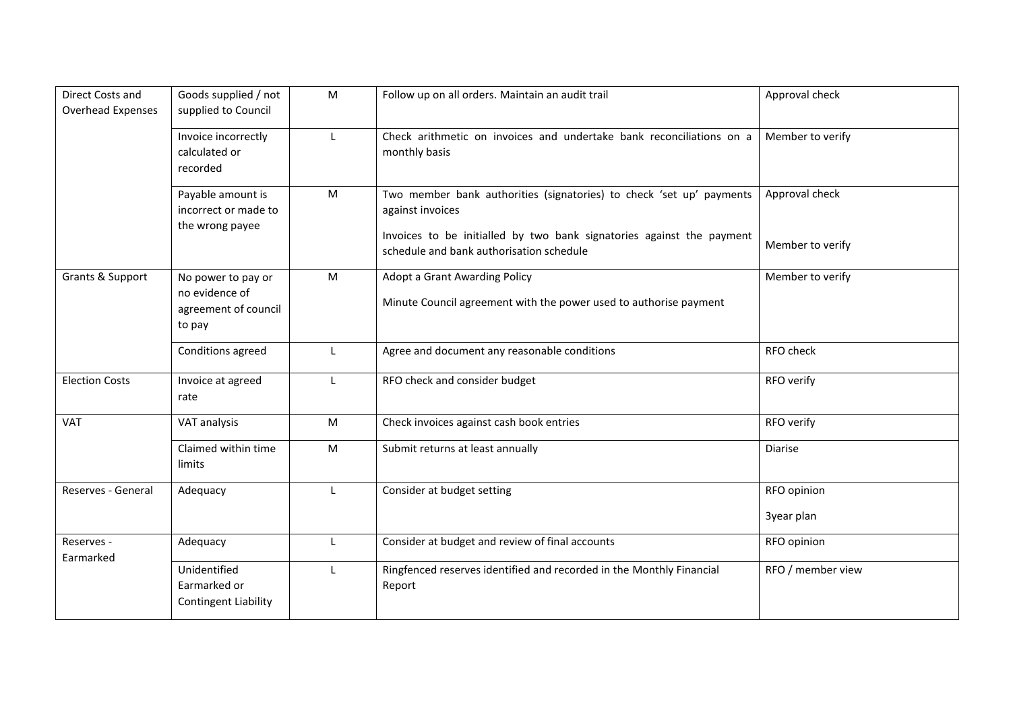| Direct Costs and<br>Overhead Expenses | Goods supplied / not<br>supplied to Council                            | M            | Follow up on all orders. Maintain an audit trail                                                                                                                                                              | Approval check                     |
|---------------------------------------|------------------------------------------------------------------------|--------------|---------------------------------------------------------------------------------------------------------------------------------------------------------------------------------------------------------------|------------------------------------|
|                                       | Invoice incorrectly<br>calculated or<br>recorded                       |              | Check arithmetic on invoices and undertake bank reconciliations on a<br>monthly basis                                                                                                                         | Member to verify                   |
|                                       | Payable amount is<br>incorrect or made to<br>the wrong payee           | M            | Two member bank authorities (signatories) to check 'set up' payments<br>against invoices<br>Invoices to be initialled by two bank signatories against the payment<br>schedule and bank authorisation schedule | Approval check<br>Member to verify |
| Grants & Support                      | No power to pay or<br>no evidence of<br>agreement of council<br>to pay | M            | Adopt a Grant Awarding Policy<br>Minute Council agreement with the power used to authorise payment                                                                                                            | Member to verify                   |
|                                       | Conditions agreed                                                      | Ι.           | Agree and document any reasonable conditions                                                                                                                                                                  | RFO check                          |
| <b>Election Costs</b>                 | Invoice at agreed<br>rate                                              | L            | RFO check and consider budget                                                                                                                                                                                 | RFO verify                         |
| <b>VAT</b>                            | VAT analysis                                                           | M            | Check invoices against cash book entries                                                                                                                                                                      | RFO verify                         |
|                                       | Claimed within time<br>limits                                          | ${\sf M}$    | Submit returns at least annually                                                                                                                                                                              | Diarise                            |
| Reserves - General                    | Adequacy                                                               | $\mathbf{I}$ | Consider at budget setting                                                                                                                                                                                    | RFO opinion<br>3year plan          |
| Reserves -<br>Earmarked               | Adequacy                                                               | $\mathsf{L}$ | Consider at budget and review of final accounts                                                                                                                                                               | RFO opinion                        |
|                                       | Unidentified<br>Earmarked or<br><b>Contingent Liability</b>            | $\mathbf{L}$ | Ringfenced reserves identified and recorded in the Monthly Financial<br>Report                                                                                                                                | RFO / member view                  |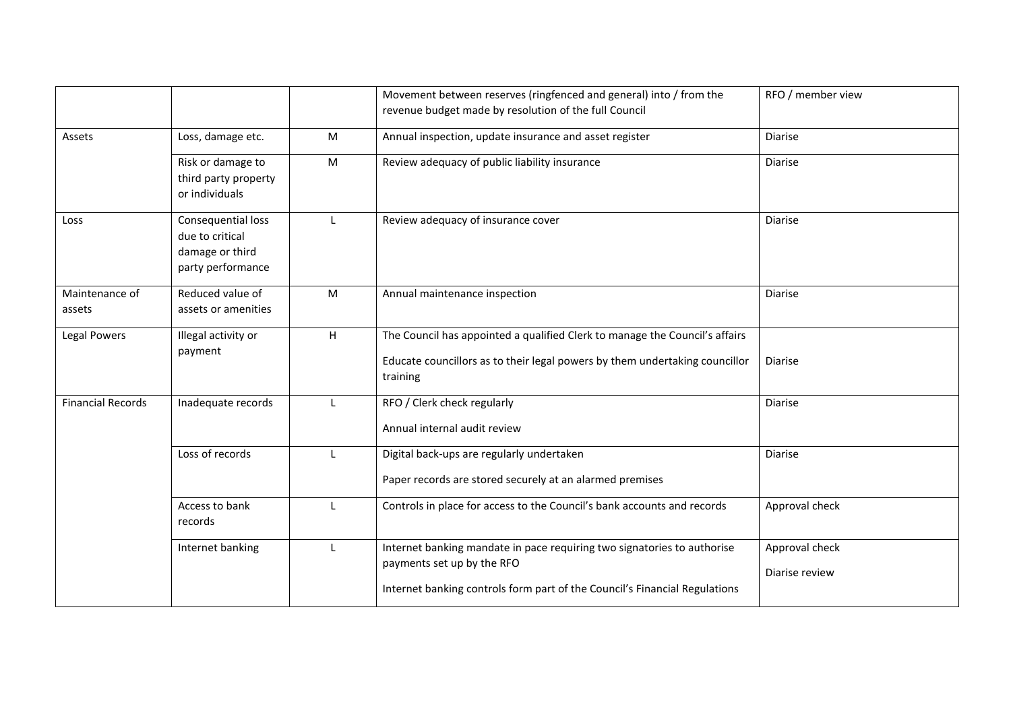|                          |                                                                               |              | Movement between reserves (ringfenced and general) into / from the<br>revenue budget made by resolution of the full Council                                                         | RFO / member view                |
|--------------------------|-------------------------------------------------------------------------------|--------------|-------------------------------------------------------------------------------------------------------------------------------------------------------------------------------------|----------------------------------|
| Assets                   | Loss, damage etc.                                                             | M            | Annual inspection, update insurance and asset register                                                                                                                              | Diarise                          |
|                          | Risk or damage to<br>third party property<br>or individuals                   | M            | Review adequacy of public liability insurance                                                                                                                                       | <b>Diarise</b>                   |
| Loss                     | Consequential loss<br>due to critical<br>damage or third<br>party performance | $\mathbf{I}$ | Review adequacy of insurance cover                                                                                                                                                  | <b>Diarise</b>                   |
| Maintenance of<br>assets | Reduced value of<br>assets or amenities                                       | M            | Annual maintenance inspection                                                                                                                                                       | Diarise                          |
| Legal Powers             | Illegal activity or<br>payment                                                | H            | The Council has appointed a qualified Clerk to manage the Council's affairs<br>Educate councillors as to their legal powers by them undertaking councillor<br>training              | Diarise                          |
| <b>Financial Records</b> | Inadequate records                                                            |              | RFO / Clerk check regularly<br>Annual internal audit review                                                                                                                         | Diarise                          |
|                          | Loss of records                                                               |              | Digital back-ups are regularly undertaken<br>Paper records are stored securely at an alarmed premises                                                                               | Diarise                          |
|                          | Access to bank<br>records                                                     | L            | Controls in place for access to the Council's bank accounts and records                                                                                                             | Approval check                   |
|                          | Internet banking                                                              | L            | Internet banking mandate in pace requiring two signatories to authorise<br>payments set up by the RFO<br>Internet banking controls form part of the Council's Financial Regulations | Approval check<br>Diarise review |